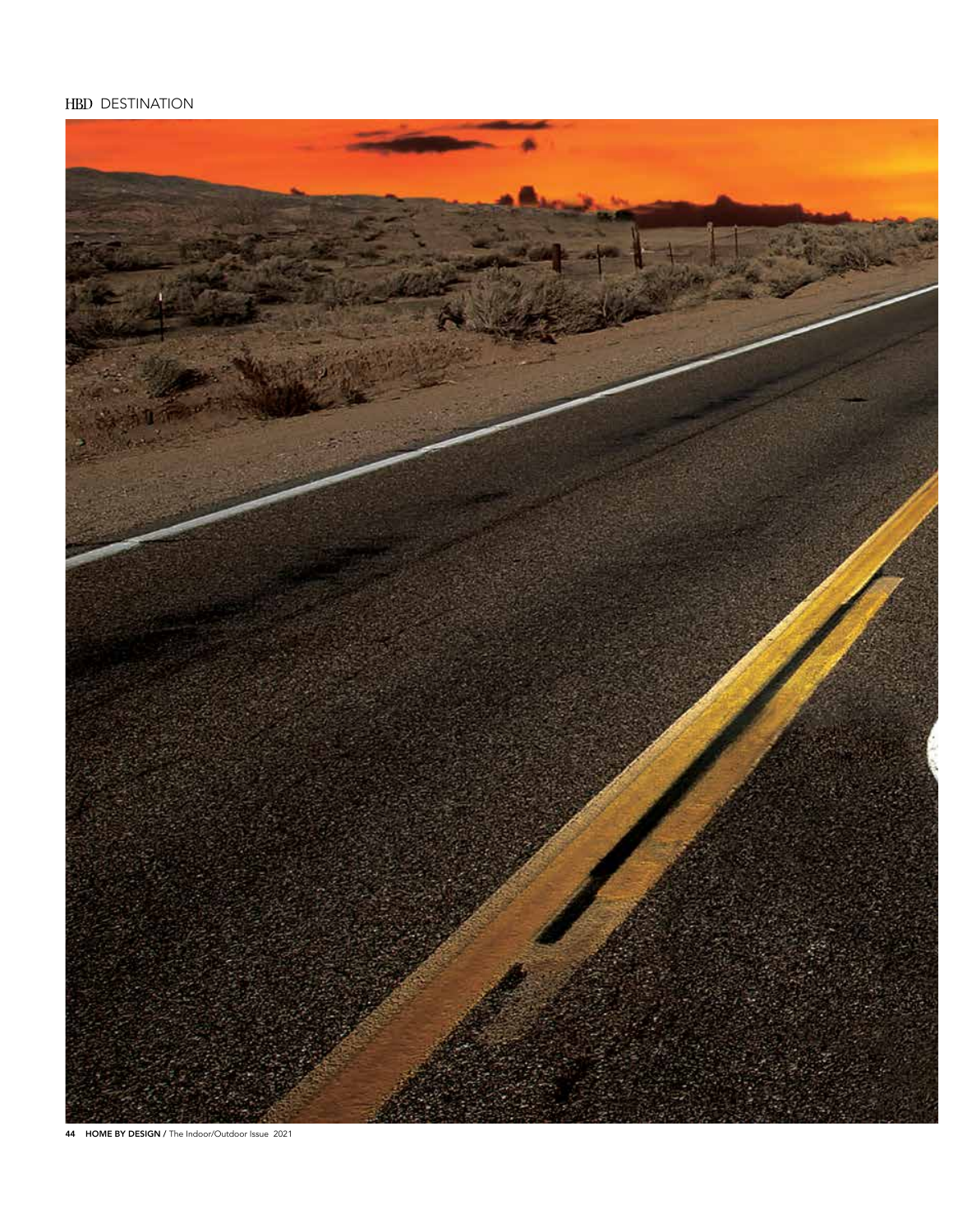# HBD DESTINATION



44 HOME BY DESIGN / The Indoor/Outdoor Issue 2021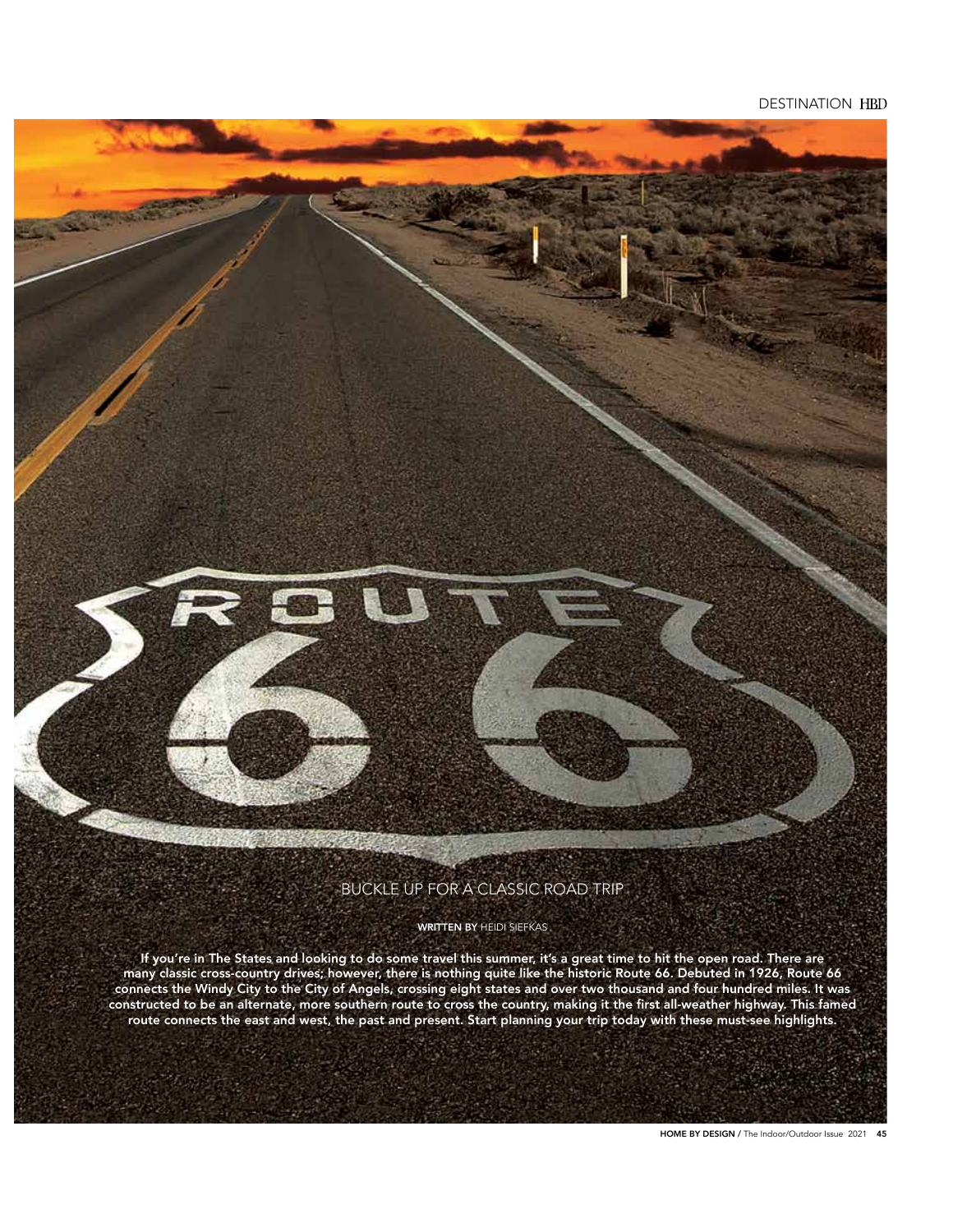DESTINATION HBD

# BUCKLE UP FOR A CLASSIC ROAD TRIP

WRITTEN BY HEIDI SIEFKAS

If you're in The States and looking to do some travel this summer, it's a great time to hit the open road. There are many classic cross-country drives; however, there is nothing quite like the historic Route 66. Debuted in 1926, Route 66 connects the Windy City to the City of Angels, crossing eight states and over two thousand and four hundred miles. It was constructed to be an alternate, more southern route to cross the country, making it the first all-weather highway. This famed<br>route connects the east and west, the past and present. Start planning your trip today with thes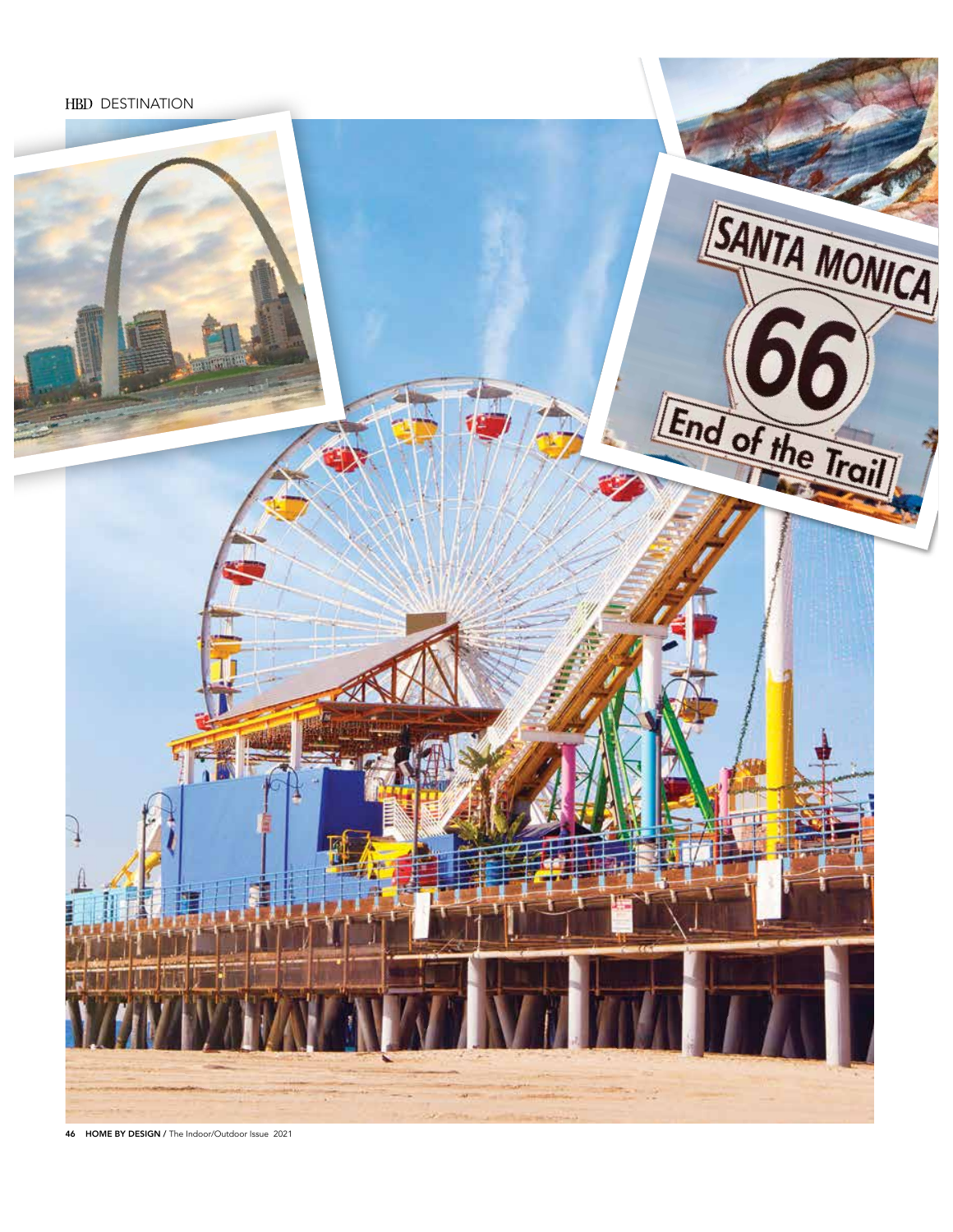

46 HOME BY DESIGN / The Indoor/Outdoor Issue 2021